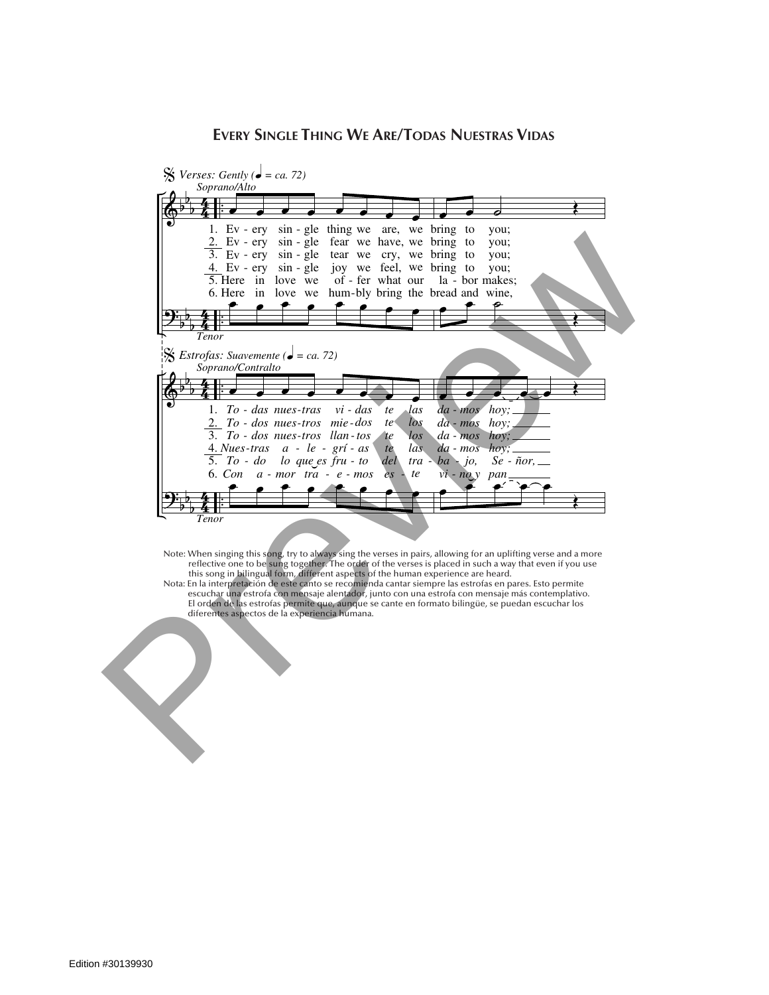## **Every Single Thing We Are/Todas Nuestras Vidas**



Note: When singing this song, try to always sing the verses in pairs, allowing for an uplifting verse and a more<br>reflective one to be sung together. The order of the verses is placed in such a way that even if you use<br>this e:  $\lambda$ this song in bilingual form, different aspects of the human experience are heard.<br>Fe la intermetable a de orte cante se recomiende canter sigmare les estrefes en p reflective one to be sung together. The order of the verses is placed in such a way that even if you use

escuchar una estrofa con mensaje alentador, junto con una estrofa con mensaje más contemplativo.<br>Escuchar una estrofa con mensaje alentador, junto con una estrofa con mensaje más contemplativo. este and the second tear we have been defined by the second team we see the secondary sense servel plants. diferentes aspectos de la experiencia humar Nota: En la interpretación de este canto se recomienda cantar siempre las estrofas en pares. Esto permite

&

b b

6.

let soon

> *to to das*

it to

be

 $s \sim 2$ 

b

2.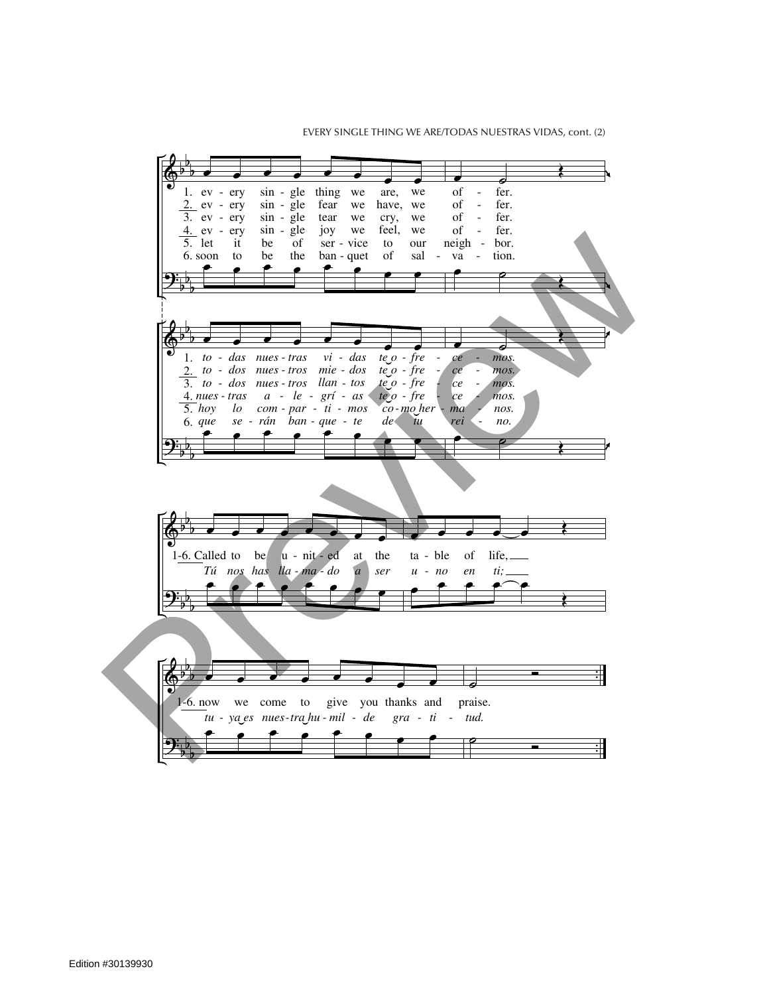EVERY SINGLE THING WE ARE/TODAS NUESTRAS VIDAS, cont. (2)